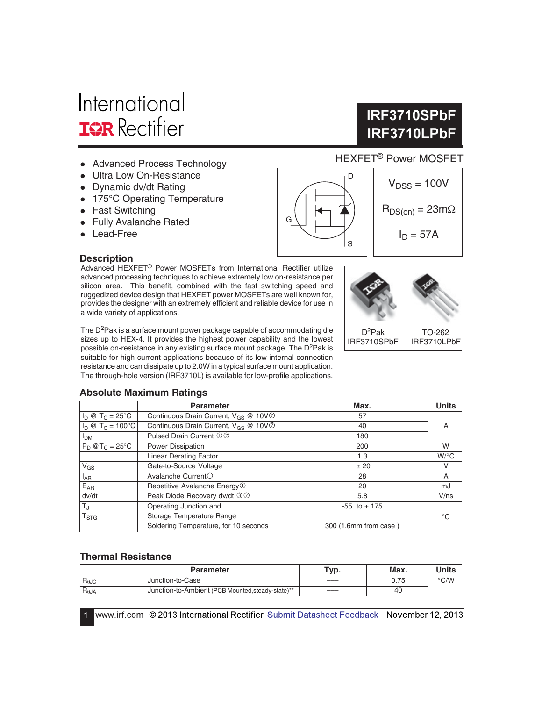# International **IOR** Rectifier

- Advanced Process Technology
- Ultra Low On-Resistance
- Dynamic dv/dt Rating
- 175°C Operating Temperature
- Fast Switching
- Fully Avalanche Rated
- Lead-Free

#### **Description**

Advanced HEXFET® Power MOSFETs from International Rectifier utilize advanced processing techniques to achieve extremely low on-resistance per silicon area. This benefit, combined with the fast switching speed and ruggedized device design that HEXFET power MOSFETs are well known for, provides the designer with an extremely efficient and reliable device for use in a wide variety of applications.

The D<sup>2</sup>Pak is a surface mount power package capable of accommodating die sizes up to HEX-4. It provides the highest power capability and the lowest possible on-resistance in any existing surface mount package. The D<sup>2</sup>Pak is suitable for high current applications because of its low internal connection resistance and can dissipate up to 2.0W in a typical surface mount application. The through-hole version (IRF3710L) is available for low-profile applications.

#### **Absolute Maximum Ratings**

|                                                                                | <b>Parameter</b>                                             | Max.                  | <b>Units</b> |  |  |  |  |
|--------------------------------------------------------------------------------|--------------------------------------------------------------|-----------------------|--------------|--|--|--|--|
| $I_D \otimes T_C = 25^{\circ}C$                                                | Continuous Drain Current, V <sub>GS</sub> @ 10V <sup>O</sup> | 57                    |              |  |  |  |  |
| $I_D @ T_C = 100°C$<br>Continuous Drain Current, $V_{GS} \n\otimes 10V\oslash$ |                                                              | 40                    | A            |  |  |  |  |
| I <sub>DM</sub>                                                                | Pulsed Drain Current 00                                      | 180                   |              |  |  |  |  |
| $P_D @T_C = 25^\circ C$                                                        | Power Dissipation                                            | 200                   | W            |  |  |  |  |
|                                                                                | <b>Linear Derating Factor</b>                                | 1.3                   | $W$ /°C      |  |  |  |  |
| $V_{GS}$                                                                       | Gate-to-Source Voltage                                       | ± 20                  | v            |  |  |  |  |
| $I_{AR}$                                                                       | Avalanche Current <sup>①</sup>                               | 28                    | A            |  |  |  |  |
| $E_{AR}$                                                                       | Repetitive Avalanche Energy <sup>1</sup>                     | 20                    | mJ           |  |  |  |  |
| dv/dt                                                                          | Peak Diode Recovery dv/dt 30                                 | 5.8                   | V/ns         |  |  |  |  |
| $T_{\rm J}$                                                                    | Operating Junction and                                       | $-55$ to $+175$       |              |  |  |  |  |
| $\mathsf{T}_{\text{STG}}$                                                      | Storage Temperature Range                                    |                       | °C           |  |  |  |  |
|                                                                                | Soldering Temperature, for 10 seconds                        | 300 (1.6mm from case) |              |  |  |  |  |

G

#### **Thermal Resistance**

|                 | <b>Parameter</b>                                  | Typ. | Max. |      |
|-----------------|---------------------------------------------------|------|------|------|
| $R_{\theta$ JC  | Junction-to-Case                                  |      | 0.75 | °C/W |
| $R_{\theta JA}$ | Junction-to-Ambient (PCB Mounted, steady-state)** |      | 40   |      |

1 **WWW.irf.com** © 2013 International Rectifier Submit Datasheet Feedback November 12, 2013

# HEXFET® Power MOSFET **IRF3710LPbF**

**IRF3710SPbF** 



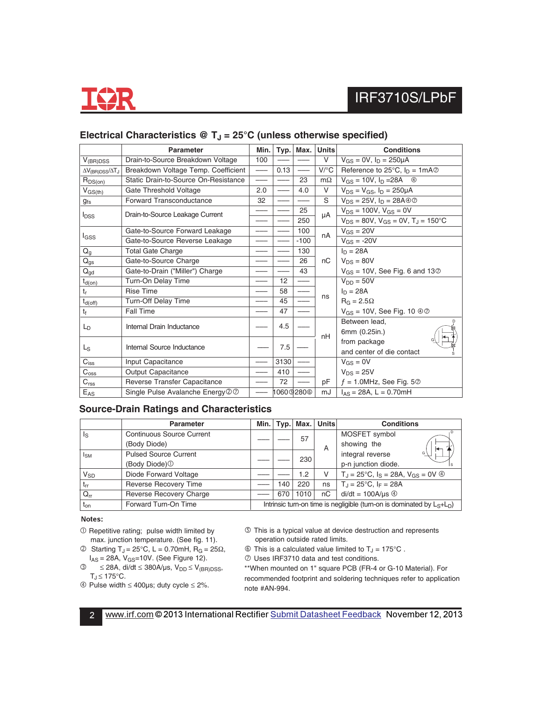

|                                        | <b>Parameter</b>                     | Max.<br>Min.<br>Typ.     |                             | <b>Units</b>                              | <b>Conditions</b> |                                                             |  |
|----------------------------------------|--------------------------------------|--------------------------|-----------------------------|-------------------------------------------|-------------------|-------------------------------------------------------------|--|
| $V_{(BR)DSS}$                          | Drain-to-Source Breakdown Voltage    | 100                      |                             |                                           | V                 | $V_{GS} = 0V$ , $I_D = 250 \mu A$                           |  |
| $\Delta V_{\text{(BR)DSS}}/\Delta T_J$ | Breakdown Voltage Temp. Coefficient  |                          | 0.13                        | $\overline{\phantom{m}}$                  | $V$ / $C$         | Reference to 25 $^{\circ}$ C, $I_{D} = 1 \text{mA} \oslash$ |  |
| $R_{DS(on)}$                           | Static Drain-to-Source On-Resistance | $\overline{\phantom{0}}$ |                             | 23                                        | $m\Omega$         | $V_{GS} = 10V, I_D = 28A$<br>⊕                              |  |
| $V_{GS(th)}$                           | Gate Threshold Voltage               | 2.0                      |                             | 4.0                                       | V                 | $V_{DS} = V_{GS}$ , $I_D = 250 \mu A$                       |  |
| <b>gfs</b>                             | Forward Transconductance             | 32                       |                             |                                           | S                 | $V_{DS} = 25V$ , $I_D = 28A@@$                              |  |
| <b>I</b> <sub>DSS</sub>                | Drain-to-Source Leakage Current      |                          |                             | 25                                        | μA                | $V_{DS} = 100V$ , $V_{GS} = 0V$                             |  |
|                                        |                                      |                          |                             | 250                                       |                   | $V_{DS} = 80V$ , $V_{GS} = 0V$ , $T_J = 150^{\circ}C$       |  |
|                                        | Gate-to-Source Forward Leakage       |                          | $V_{GS} = 20V$<br>100<br>nA |                                           |                   |                                                             |  |
| l <sub>GSS</sub>                       | Gate-to-Source Reverse Leakage       |                          |                             | $-100$                                    |                   | $V_{GS} = -20V$                                             |  |
| $Q_g$                                  | <b>Total Gate Charge</b>             |                          |                             | 130                                       |                   | $ln = 28A$                                                  |  |
| $Q_{gs}$                               | Gate-to-Source Charge                |                          |                             | 26                                        | nC                | $V_{DS} = 80V$                                              |  |
| $\mathsf{Q}_{\mathsf{gd}}$             | Gate-to-Drain ("Miller") Charge      |                          |                             | 43                                        |                   | $V_{GS}$ = 10V, See Fig. 6 and 13 $\oslash$                 |  |
| $t_{d(on)}$                            | Turn-On Delay Time                   |                          | 12                          | $\qquad \qquad \overline{\qquad \qquad }$ |                   | $V_{DD} = 50V$                                              |  |
| $t_r$                                  | <b>Rise Time</b>                     |                          | 58                          |                                           | ns                | $I_D = 28A$                                                 |  |
| $t_{d(off)}$                           | Turn-Off Delay Time                  |                          | 45                          |                                           |                   | $R_G = 2.5\Omega$                                           |  |
| tf                                     | <b>Fall Time</b>                     |                          | 47                          |                                           |                   | $V_{GS}$ = 10V, See Fig. 10 $\textcircled{3}$               |  |
| L <sub>D</sub>                         | Internal Drain Inductance            |                          | 4.5                         |                                           | nH                | Between lead.                                               |  |
|                                        |                                      |                          |                             |                                           |                   | 6mm (0.25in.)                                               |  |
|                                        | Internal Source Inductance           |                          | 7.5                         |                                           |                   | from package                                                |  |
| L <sub>S</sub>                         |                                      |                          |                             |                                           |                   | and center of die contact                                   |  |
| $C_{iss}$                              | Input Capacitance                    |                          | 3130                        |                                           |                   | $V_{GS} = 0V$                                               |  |
| $C_{\rm oss}$                          | <b>Output Capacitance</b>            |                          | 410                         |                                           |                   | $V_{DS} = 25V$                                              |  |
| $C_{\text{rss}}$                       | Reverse Transfer Capacitance         |                          | 72                          |                                           | рF                | $f = 1.0$ MHz, See Fig. 5 $\oslash$                         |  |
| $E_{AS}$                               | Single Pulse Avalanche Energy 20     |                          |                             | 1060I280®                                 | mJ                | $I_{AS} = 28A, L = 0.70mH$                                  |  |

### Electrical Characteristics @ T<sub>J</sub> = 25°C (unless otherwise specified)

#### **Source-Drain Ratings and Characteristics**

|                       | <b>Parameter</b>                 | Min.                                                                      |     | $Typ.$ Max. | <b>Units</b> | <b>Conditions</b>                                                   |  |
|-----------------------|----------------------------------|---------------------------------------------------------------------------|-----|-------------|--------------|---------------------------------------------------------------------|--|
| Is                    | <b>Continuous Source Current</b> |                                                                           |     | 57          |              | ı D<br>MOSFET symbol                                                |  |
|                       | (Body Diode)                     |                                                                           |     |             | Α            | showing the<br>$\vdash$                                             |  |
| Isм                   | <b>Pulsed Source Current</b>     |                                                                           |     | 230         |              | integral reverse<br>G                                               |  |
|                       | (Body Diode) <sup>1</sup>        |                                                                           |     |             |              | p-n junction diode.                                                 |  |
| <b>V<sub>SD</sub></b> | Diode Forward Voltage            |                                                                           |     | 1.2         | V            | $T_{d} = 25^{\circ}C$ , $I_{S} = 28A$ , $V_{GS} = 0V$ $\circled{0}$ |  |
| $t_{rr}$              | <b>Reverse Recovery Time</b>     |                                                                           | 140 | 220         | ns           | $T_{\rm J} = 25^{\circ}$ C, I <sub>F</sub> = 28A                    |  |
| $Q_{rr}$              | Reverse Recovery Charge          |                                                                           | 670 | 1010        | пC           | $di/dt = 100A/\mu s$ 4                                              |  |
| $t_{on}$              | Forward Turn-On Time             | Intrinsic turn-on time is negligible (turn-on is dominated by $L_S+L_D$ ) |     |             |              |                                                                     |  |

#### Notes:

- Repetitive rating; pulse width limited by max. junction temperature. (See fig. 11).
- © Starting T<sub>J</sub> = 25°C, L = 0.70mH, R<sub>G</sub> = 25Ω,  $I_{AS} = 28A$ ,  $V_{GS} = 10V$ . (See Figure 12).
- $\textcircled{3}$  ≤ 28A, di/dt ≤ 380A/μs, V<sub>DD</sub> ≤ V<sub>(BR)DSS</sub>,  $T_J \leq 175^{\circ}C.$
- Pulse width ≤ 400µs; duty cycle ≤ 2%.
- This is a typical value at device destruction and represents operation outside rated limits.
- $\circled{1}$  This is a calculated value limited to T<sub>J</sub> = 175 $\circ$ C.
- Uses IRF3710 data and test conditions.

\*\*When mounted on 1" square PCB (FR-4 or G-10 Material). For recommended footprint and soldering techniques refer to application note #AN-994.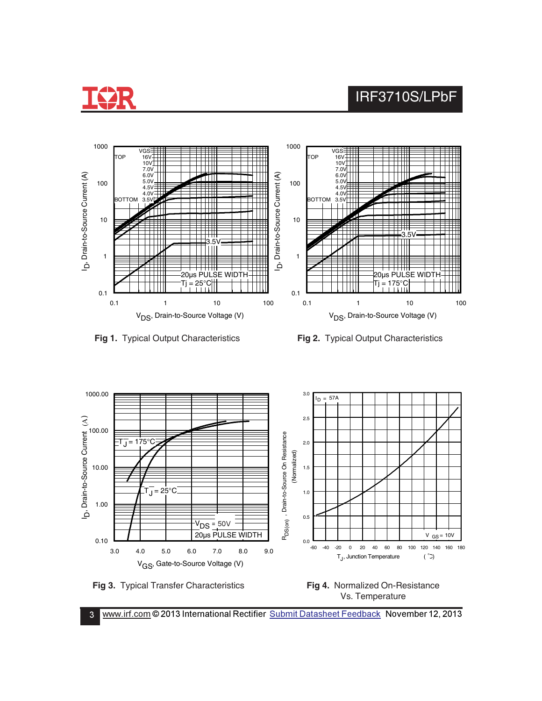











3 Www.irf.com © 2013 International Rectifier Submit Datasheet Feedback November 12, 2013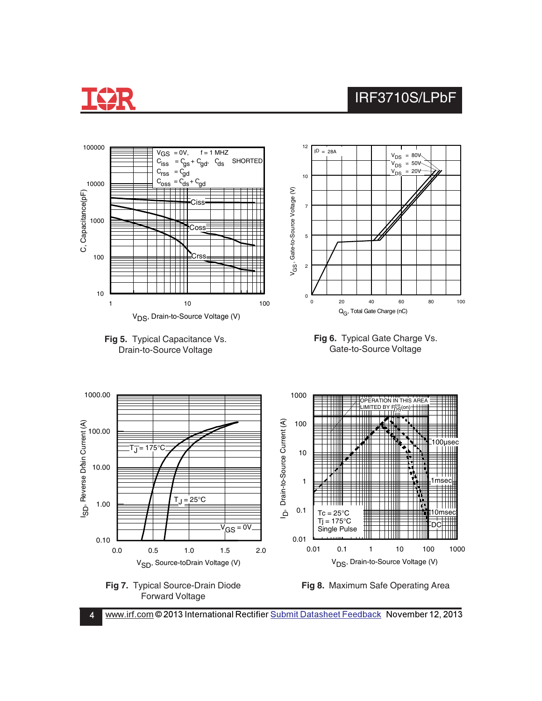

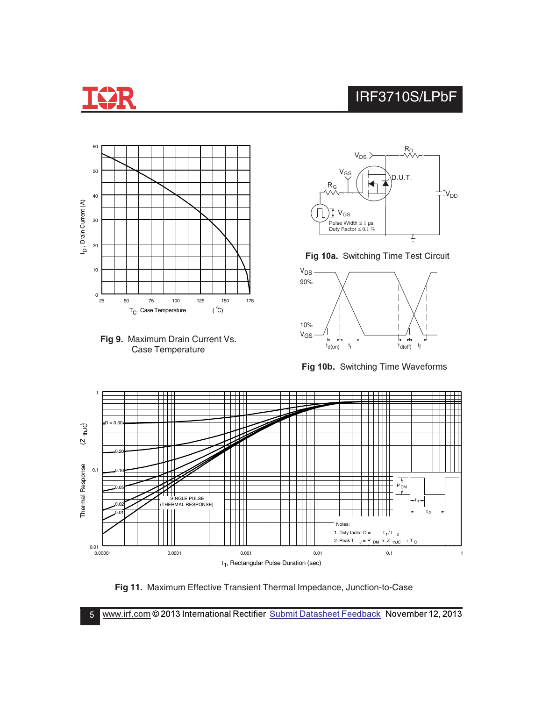







Fig 10a. Switching Time Test Circuit



**Fig 10b.** Switching Time Waveforms



**Fig 11.** Maximum Effective Transient Thermal Impedance, Junction-to-Case

5 Www.irf.com © 2013 International Rectifier Submit Datasheet Feedback November 12, 2013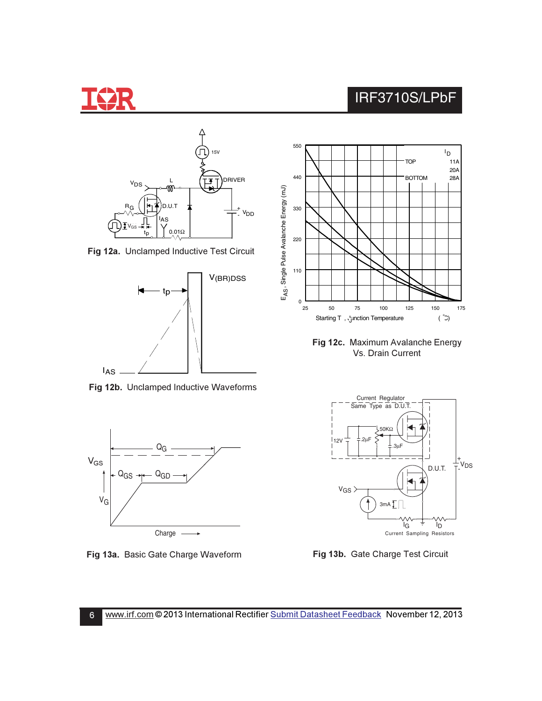









Fig 12b. Unclamped Inductive Waveforms



**Fig 13a.** Basic Gate Charge Waveform **Figmer State State State State State State State State State State State State State State State State State State State State State State State State State State State State State St** 



Fig 12c. Maximum Avalanche Energy Vs. Drain Current



**g 13b.** Gate Charge Test Circuit

6 <u>www.irf.com</u> © 2013 International Rectifier <u>Submit Datasheet Feedback</u> November 12, 2013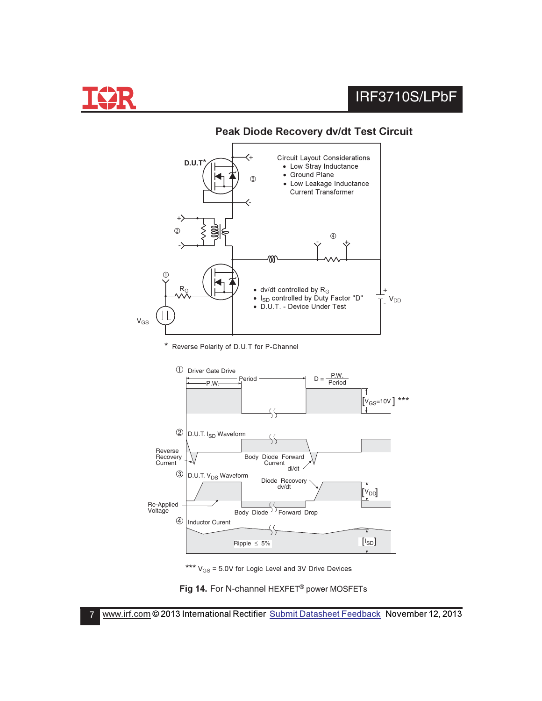



### **Peak Diode Recovery dy/dt Test Circuit**

\* Reverse Polarity of D.U.T for P-Channel



\*\*\*  $V_{GS}$  = 5.0V for Logic Level and 3V Drive Devices

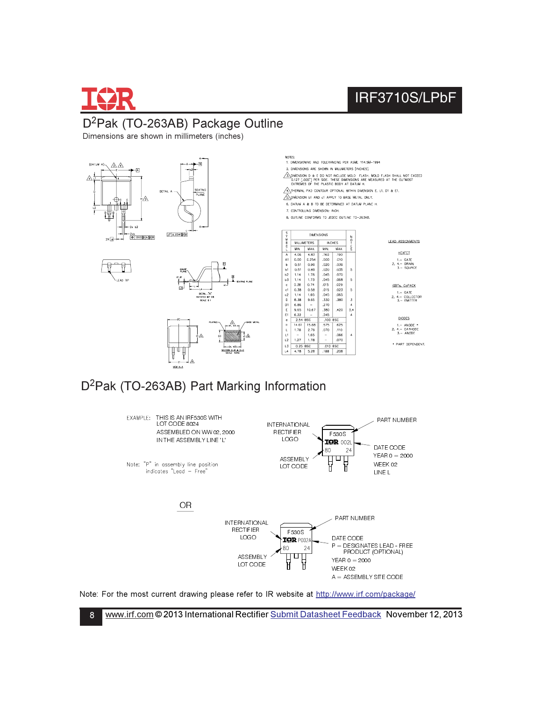

8

# IRF3710S/LPbF

### D<sup>2</sup>Pak (TO-263AB) Package Outline

Dimensions are shown in millimeters (inches)



### D<sup>2</sup>Pak (TO-263AB) Part Marking Information



Note: For the most current drawing please refer to IR website at http://www.irf.com/package/

www.irf.com © 2013 International Rectifier Submit Datasheet Feedback November 12, 2013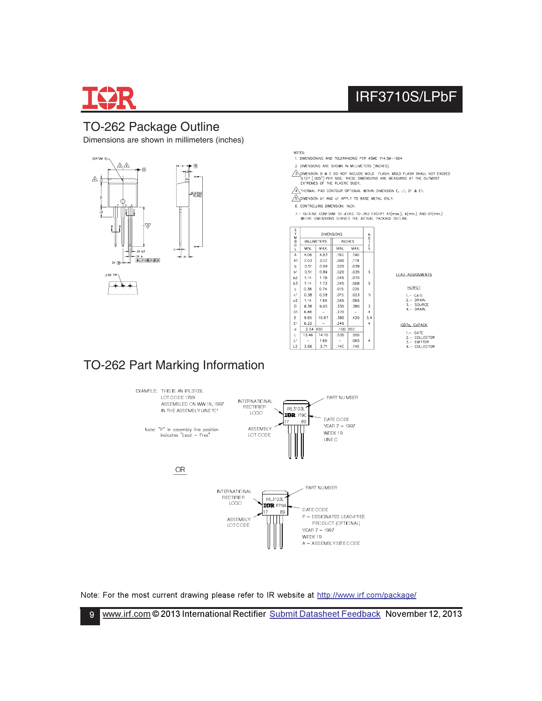

 $9^{\circ}$ 

### TO-262 Package Outline

Dimensions are shown in millimeters (inches)



NOTES:

1. DIMENSIONING AND TOLERANCING PER ASME Y14.5M-1994

2. DIMENSIONS ARE SHOWN IN MILLIMETERS [INCHES].

 $\sqrt{\frac{2}{3}}$ , DIMENSION D & E DO NOT INCLUDE MOLD FLASH, MOLD FLASH SHALL NOT EXCEED 0.127 [.005"] PER SIDE. THESE DIMENSIONS ARE MEASURED AT THE OUTMOST EXTREMES OF THE PLASTIC BODY,

IRF3710S/LPbF

GATE<br>COLLECTOR<br>EMITTER<br>COLLECTOR

 $\sqrt{4}$  Thermal pad contour optional within dimension E, L1, D1 & E1,

 $\sqrt{\frac{2}{3}}$  DIMENSION 61 AND c1 APPLY TO BASE METAL ONLY.

6. CONTROLLING DIMENSION: INCH.

7. – OUTLINE CONFORM TO JEDEC TO-262 EXCEPT AT(max.), b(mín.) AND DT(min.)<br>WHERE DIMENSIONS DERIVED THE ACTUAL PACKAGE OUTLINE.

| S<br>Ÿ<br>-082 |       |                    |                   | N                       |                            |
|----------------|-------|--------------------|-------------------|-------------------------|----------------------------|
|                |       | <b>INCHES</b>      |                   | Ť                       |                            |
| MIN.           | MAX.  | MIN.               | MAX.              |                         |                            |
| 4,06           | 4,83  | ,160               | .190              |                         |                            |
| 2.03           | 3.02  | .080               | .119              |                         |                            |
| 0.51           | 0.99  | ,020               | ,039              |                         |                            |
| 0,51           | 0.89  | ,020               | .035              | 5                       | <b>LEAD ASSIGNMENTS</b>    |
| 1.14           | 1.78  | .045               | .070              |                         |                            |
| 1.14           | 1.73  | .045               | .068              | 5                       |                            |
| 0.38           | 0.74  | .015               | .029              |                         | <b>HEXFET</b>              |
| 0.38           | 0.58  | ,015               | .023              | 5                       | $1 - GATE$                 |
| 1.14           | 1.65  | .045               | .065              |                         | $2 - DRAIN$                |
| 8.38           | 9.65  | .330               | .380              | 3                       | $3 - SOURCF$               |
| 6.86           | -     | .270               | -                 | 4                       | $4 - DRAIN$                |
| 9.65           | 10.67 | .380               | .420              | 3,4                     |                            |
| 6.22           |       | .245               |                   | $\overline{\mathbf{4}}$ | IGBTs. CoPACK              |
| 2.54 BSC       |       | .100               |                   |                         |                            |
| 13.46          | 14.10 | .530               | .555              |                         | $1 - GATE$<br>2.- COLLECTO |
|                | 1.65  |                    | .065              | $\overline{4}$          | 3. - EMITTER               |
| 3.56           | 3.71  | ,140               | ,146              |                         | 4.- COLLECTO               |
|                |       | <b>MILLIMETERS</b> | <b>DIMENSIONS</b> | <b>BSC</b>              | o<br>Ė<br>S                |

### TO-262 Part Marking Information



Note: For the most current drawing please refer to IR website at http://www.irf.com/package/

www.irf.com © 2013 International Rectifier Submit Datasheet Feedback November 12, 2013